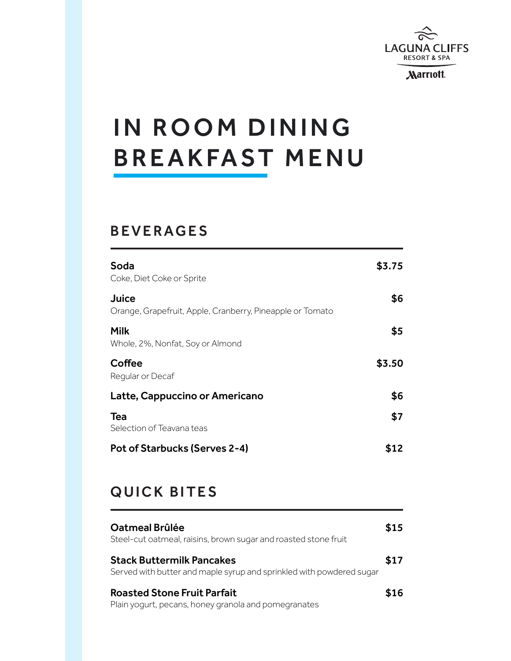

**Marriott** 

# IN ROOM DINING **BREAKFAST MENU**

#### BEVERAGES

| Soda<br>Coke, Diet Coke or Sprite                                  | \$3.75 |
|--------------------------------------------------------------------|--------|
| Juice<br>Orange, Grapefruit, Apple, Cranberry, Pineapple or Tomato | \$6    |
| Milk<br>Whole, 2%, Nonfat, Soy or Almond                           | \$5    |
| Coffee<br>Regular or Decaf                                         | \$3.50 |
| Latte, Cappuccino or Americano                                     | \$6    |
| <b>Tea</b><br>Selection of Teavana teas                            | \$7    |
| Pot of Starbucks (Serves 2-4)                                      |        |

# QUICK BITES

| Oatmeal Brûlée<br>Steel-cut oatmeal, raisins, brown sugar and roasted stone fruit                        | \$15 |
|----------------------------------------------------------------------------------------------------------|------|
| <b>Stack Buttermilk Pancakes</b><br>Served with butter and maple syrup and sprinkled with powdered sugar | \$17 |
| <b>Roasted Stone Fruit Parfait</b><br>Plain yogurt, pecans, honey granola and pomegranates               | \$16 |